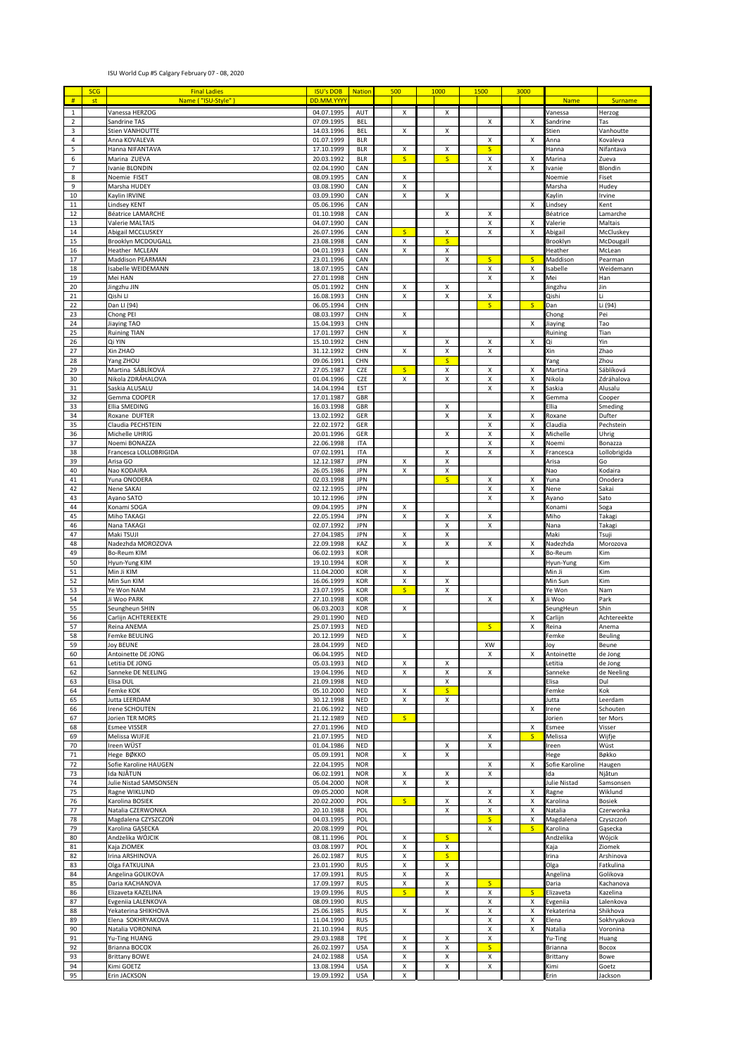## ISU World Cup #5 Calgary February 07 - 08, 2020

|                               | <b>SCG</b> | <b>Final Ladies</b>                         | <b>ISU's DOB</b>         | <b>Nation</b>            | 500                       | 1000                    | 1500                                     | 3000                    |                            |                          |
|-------------------------------|------------|---------------------------------------------|--------------------------|--------------------------|---------------------------|-------------------------|------------------------------------------|-------------------------|----------------------------|--------------------------|
| #                             | st         | Name ("ISU-Style"                           | DD.MM.YYY                |                          |                           |                         |                                          |                         | <b>Name</b>                | Surname                  |
| $\mathbf 1$<br>$\overline{2}$ |            | Vanessa HERZOG<br>Sandrine TAS              | 04.07.1995<br>07.09.1995 | AUT                      | Χ                         | Χ                       |                                          |                         | Vanessa                    | Herzog                   |
| 3                             |            | Stien VANHOUTTE                             | 14.03.1996               | <b>BEL</b><br><b>BEL</b> | X                         | X                       | X                                        | X                       | Sandrine<br>Stien          | Tas<br>Vanhoutte         |
| $\overline{a}$                |            | Anna KOVALEVA                               | 01.07.1999               | <b>BLR</b>               |                           |                         | $\pmb{\mathsf{X}}$                       | X                       | Anna                       | Kovaleva                 |
| 5                             |            | Hanna NIFANTAVA                             | 17.10.1999               | <b>BLR</b>               | X                         | x                       | $\mathsf{S}$                             |                         | Hanna                      | Nifantava                |
| 6<br>$\overline{7}$           |            | Marina ZUEVA<br>Ivanie BLONDIN              | 20.03.1992<br>02.04.1990 | <b>BLR</b><br>CAN        | $\overline{\mathsf{S}}$   | s.                      | X<br>X                                   | Х<br>X                  | Marina<br>vanie            | Zueva<br>Blondin         |
| 8                             |            | Noemie FISET                                | 08.09.1995               | CAN                      | X                         |                         |                                          |                         | Noemie                     | Fiset                    |
| 9                             |            | Marsha HUDEY                                | 03.08.1990               | CAN                      | х                         |                         |                                          |                         | Marsha                     | Hudey                    |
| 10                            |            | Kaylin IRVINE                               | 03.09.1990               | CAN                      | X                         | X                       |                                          |                         | <b>Caylin</b>              | Irvine                   |
| $11\,$                        |            | Lindsey KENT                                | 05.06.1996               | CAN                      |                           |                         |                                          | X                       | Lindsey                    | Kent                     |
| $12\,$<br>13                  |            | <b>Béatrice LAMARCHE</b><br>Valerie MALTAIS | 01.10.1998<br>04.07.1990 | CAN<br>CAN               |                           | x                       | X<br>x                                   | х                       | Béatrice<br>Valerie        | Lamarche<br>Maltais      |
| 14                            |            | Abigail MCCLUSKEY                           | 26.07.1996               | CAN                      | $\mathsf{s}$              | x                       | X                                        | X                       | Abigail                    | McCluskey                |
| 15                            |            | <b>Brooklyn MCDOUGALL</b>                   | 23.08.1998               | CAN                      | X                         | $\overline{\mathsf{S}}$ |                                          |                         | Brooklyn                   | McDougal                 |
| 16                            |            | Heather MCLEAN                              | 04.01.1993               | CAN                      | X                         | Χ                       |                                          |                         | Heather                    | McLean                   |
| 17                            |            | Maddison PEARMAN                            | 23.01.1996               | CAN                      |                           | X                       | s.                                       | $\mathsf{S}$            | Maddison                   | Pearman                  |
| 18<br>19                      |            | Isabelle WEIDEMANN<br>Mei HAN               | 18.07.1995<br>27.01.1998 | CAN<br>CHN               |                           |                         | x<br>Χ                                   | x<br>X                  | sabelle<br>Mei             | Weidemann<br>Han         |
| 20                            |            | Jingzhu JIN                                 | 05.01.1992               | CHN                      | Χ                         | x                       |                                          |                         | Jingzhu                    | Jin                      |
| 21                            |            | Qishi Ll                                    | 16.08.1993               | CHN                      | X                         | X                       | X                                        |                         | Qishi                      | Li                       |
| 22                            |            | Dan LI (94)                                 | 06.05.1994               | CHN                      |                           |                         | S                                        | $\mathsf{S}$            | Dan                        | Li (94)                  |
| 23                            |            | Chong PEI                                   | 08.03.1997               | CHN                      | X                         |                         |                                          |                         | Chong                      | Pei<br>Tao               |
| 24<br>25                      |            | Jiaying TAO<br><b>Ruining TIAN</b>          | 15.04.1993<br>17.01.1997 | CHN<br>CHN               | X                         |                         |                                          | X                       | Jiaying<br>Ruining         | Tian                     |
| 26                            |            | Qi YIN                                      | 15.10.1992               | CHN                      |                           | X                       | X                                        | Χ                       | Qi                         | Yin                      |
| 27                            |            | Xin ZHAO                                    | 31.12.1992               | CHN                      | х                         | X                       | x                                        |                         | Xin                        | Zhao                     |
| 28                            |            | Yang ZHOU                                   | 09.06.1991               | CHN                      |                           | $\mathsf{S}$            |                                          |                         | Yang                       | Zhou                     |
| 29<br>30                      |            | Martina SÁBLÍKOVÁ<br>Nikola ZDRÁHALOVA      | 27.05.1987               | CZE                      | $\mathsf{S}$<br>X         | X<br>x                  | X                                        | X<br>х                  | Martina                    | Sáblíková                |
| 31                            |            | Saskia ALUSALU                              | 01.04.1996<br>14.04.1994 | CZE<br>EST               |                           |                         | x<br>X                                   | х                       | Nikola<br>Saskia           | Zdráhalova<br>Alusalu    |
| 32                            |            | Gemma COOPER                                | 17.01.1987               | GBR                      |                           |                         |                                          | X                       | Gemma                      | Cooper                   |
| 33                            |            | Ellia SMEDING                               | 16.03.1998               | GBR                      |                           | Χ                       |                                          |                         | Ellia                      | Smeding                  |
| 34                            |            | Roxane DUFTER                               | 13.02.1992               | GER                      |                           | X                       | Χ                                        | Χ                       | Roxane                     | Dufter                   |
| 35                            |            | Claudia PECHSTEIN                           | 22.02.1972               | GER                      |                           |                         | Χ                                        | X                       | Claudia                    | Pechstein                |
| 36<br>37                      |            | Michelle UHRIG<br>Noemi BONAZZA             | 20.01.1996<br>22.06.1998 | GER<br><b>ITA</b>        |                           | X                       | $\pmb{\mathsf{X}}$<br>$\pmb{\mathsf{X}}$ | х<br>X                  | Michelle<br>Noemi          | Uhrig<br>Bonazza         |
| 38                            |            | Francesca LOLLOBRIGIDA                      | 07.02.1991               | <b>ITA</b>               |                           | X                       | X                                        | X                       | Francesca                  | Lollobrigida             |
| 39                            |            | Arisa GO                                    | 12.12.1987               | JPN                      | X                         | X                       |                                          |                         | Arisa                      | Go                       |
| 40                            |            | Nao KODAIRA                                 | 26.05.1986               | <b>JPN</b>               | X                         | X                       |                                          |                         | Nao                        | Kodaira                  |
| 41                            |            | Yuna ONODERA                                | 02.03.1998               | JPN                      |                           | $\mathsf{S}$            | X                                        | х                       | Yuna                       | Onodera                  |
| 42<br>43                      |            | Nene SAKAI<br>Ayano SATO                    | 02.12.1995<br>10.12.1996 | <b>JPN</b><br><b>JPN</b> |                           |                         | X<br>X                                   | X<br>X                  | Nene<br>Ayano              | Sakai<br>Sato            |
| 44                            |            | Konami SOGA                                 | 09.04.1995               | <b>JPN</b>               | X                         |                         |                                          |                         | Konam                      | Soga                     |
| 45                            |            | Miho TAKAGI                                 | 22.05.1994               | <b>JPN</b>               | Χ                         | X                       | x                                        |                         | Miho                       | Takagi                   |
| 46                            |            | Nana TAKAGI                                 | 02.07.1992               | <b>JPN</b>               |                           | Χ                       | X                                        |                         | Nana                       | Takagi                   |
| 47<br>48                      |            | Maki TSUJI                                  | 27.04.1985               | <b>JPN</b><br>KAZ        | X<br>X                    | x<br>x                  | X                                        |                         | Maki                       | Tsuji                    |
| 49                            |            | Nadezhda MOROZOVA<br><b>Bo-Reum KIM</b>     | 22.09.1998<br>06.02.1993 | KOR                      |                           |                         |                                          | х<br>X                  | Nadezhda<br>Bo-Reum        | Morozova<br>Kim          |
| 50                            |            | Hyun-Yung KIM                               | 19.10.1994               | KOR                      | х                         | x                       |                                          |                         | Hyun-Yung                  | Kim                      |
| 51                            |            | Min Ji KIM                                  | 11.04.2000               | KOR                      | Χ                         |                         |                                          |                         | Min Ji                     | Kim                      |
| 52                            |            | Min Sun KIM                                 | 16.06.1999               | KOR                      | X                         | X                       |                                          |                         | Min Sun                    | Kim                      |
| 53<br>54                      |            | Ye Won NAM<br>Ji Woo PARK                   | 23.07.1995<br>27.10.1998 | KOR<br>KOR               | $\mathsf{S}$              | x                       | X                                        | X                       | Ye Won<br>Ji Woo           | Nam<br>Park              |
| 55                            |            | Seungheun SHIN                              | 06.03.2003               | KOR                      | X                         |                         |                                          |                         | SeungHeun                  | Shin                     |
| 56                            |            | Carlijn ACHTEREEKTE                         | 29.01.1990               | <b>NED</b>               |                           |                         |                                          | х                       | Carlijn                    | Achtereekte              |
| 57                            |            | Reina ANEMA                                 | 25.07.1993               | <b>NED</b>               |                           |                         | $\mathsf{S}$                             | x                       | Reina                      | Anema                    |
| 58<br>59                      |            | Femke BEULING<br><b>Joy BEUNE</b>           | 20.12.1999<br>28.04.1999 | <b>NED</b><br><b>NED</b> | Χ                         |                         | XW                                       |                         | Femke<br>loy               | Beuling<br>Beune         |
| 60                            |            | Antoinette DE JONG                          | 06.04.1995               | <b>NED</b>               |                           |                         | $\pmb{\mathsf{X}}$                       | X                       | Antoinette                 | de Jong                  |
| 61                            |            | Letitia DE JONG                             | 05.03.1993               | <b>NED</b>               | х                         | X                       |                                          |                         | etitia                     | de Jong                  |
| 62                            |            | Sanneke DE NEELING                          | 19.04.1996               | <b>NED</b>               | X                         | Χ                       | $\pmb{\chi}$                             |                         | Sanneke                    | de Neeling               |
| 63                            |            | Elisa DUL                                   | 21.09.1998               | <b>NED</b>               |                           | Χ                       |                                          |                         | Elisa                      | Dul                      |
| 64<br>65                      |            | Femke KOK<br><b>Jutta LEERDAM</b>           | 05.10.2000<br>30.12.1998 | <b>NED</b><br><b>NED</b> | X<br>X                    | S<br>x                  |                                          |                         | <sup>:</sup> emke<br>lutta | Kok<br>Leerdam           |
| 66                            |            | Irene SCHOUTEN                              | 21.06.1992               | <b>NED</b>               |                           |                         |                                          | х                       | rene                       | Schouten                 |
| 67                            |            | Jorien TER MORS                             | 21.12.1989               | <b>NED</b>               | $\overline{\mathsf{S}}$   |                         |                                          |                         | Jorien                     | ter Mors                 |
| 68                            |            | <b>Esmee VISSER</b>                         | 27.01.1996               | <b>NED</b>               |                           |                         |                                          | х                       | Esmee                      | Visser                   |
| 69<br>70                      |            | Melissa WIJFJE<br>Ireen WÜST                | 21.07.1995<br>01.04.1986 | <b>NED</b><br><b>NED</b> |                           | X                       | X<br>x                                   | $\overline{\mathsf{S}}$ | Melissa<br>reen            | Wijfje<br>Wüst           |
| $71\,$                        |            | Hege BØKKO                                  | 05.09.1991               | <b>NOR</b>               | $\boldsymbol{\mathsf{x}}$ | Χ                       |                                          |                         | <b>Hege</b>                | Bøkko                    |
| 72                            |            | Sofie Karoline HAUGEN                       | 22.04.1995               | <b>NOR</b>               |                           |                         | x                                        | X                       | Sofie Karoline             | Haugen                   |
| 73                            |            | Ida NJĀTUN                                  | 06.02.1991               | <b>NOR</b>               | X                         | x                       | X                                        |                         | da                         | Njåtun                   |
| 74                            |            | Julie Nistad SAMSONSEN                      | 05.04.2000               | <b>NOR</b>               | X                         | Χ                       |                                          |                         | Julie Nistad               | Samsonsen                |
| 75<br>76                      |            | Ragne WIKLUND<br>Karolina BOSIEK            | 09.05.2000<br>20.02.2000 | <b>NOR</b><br>POL        | $\overline{\mathsf{S}}$   | Χ                       | x<br>Χ                                   | х<br>x                  | Ragne<br>Karolina          | Wiklund<br><b>Bosiek</b> |
| 77                            |            | Natalia CZERWONKA                           | 20.10.1988               | POL                      |                           | X                       | x                                        | x                       | Natalia                    | Czerwonka                |
| 78                            |            | Magdalena CZYSZCZOŃ                         | 04.03.1995               | POL                      |                           |                         | $\mathsf{S}$                             | х                       | Magdalena                  | Czyszczoń                |
| 79                            |            | Karolina GĄSECKA                            | 20.08.1999               | POL                      |                           |                         | X                                        | $\mathsf{S}$            | Karolina                   | Gąsecka                  |
| 80<br>81                      |            | Andżelika WÓJCIK<br>Kaja ZIOMEK             | 08.11.1996<br>03.08.1997 | POL<br>POL               | X<br>Χ                    | <sub>S</sub><br>x       |                                          |                         | Andżelika<br>Kaja          | Wójcik<br>Ziomek         |
| 82                            |            | Irina ARSHINOVA                             | 26.02.1987               | <b>RUS</b>               | X                         | S                       |                                          |                         | rina                       | Arshinova                |
| 83                            |            | Olga FATKULINA                              | 23.01.1990               | <b>RUS</b>               | Χ                         | Χ                       |                                          |                         | Olga                       | Fatkulina                |
| 84                            |            | Angelina GOLIKOVA                           | 17.09.1991               | <b>RUS</b>               | Χ                         | Χ                       |                                          |                         | Angelina                   | Golikova                 |
| 85                            |            | Daria KACHANOVA                             | 17.09.1997               | <b>RUS</b>               | Χ                         | Χ                       | $\overline{\mathsf{S}}$                  |                         | Daria                      | Kachanova                |
| 86<br>87                      |            | Elizaveta KAZELINA<br>Evgeniia LALENKOVA    | 19.09.1996<br>08.09.1990 | <b>RUS</b><br><b>RUS</b> | $\overline{\mathsf{S}}$   | X                       | X<br>X                                   | S<br>X                  | Elizaveta<br>Evgeniia      | Kazelina<br>Lalenkova    |
| 88                            |            | Yekaterina SHIKHOVA                         | 25.06.1985               | <b>RUS</b>               | Χ                         | X                       | X                                        | x                       | Yekaterina                 | Shikhova                 |
| 89                            |            | Elena SOKHRYAKOVA                           | 11.04.1990               | <b>RUS</b>               |                           |                         | x                                        | х                       | Elena                      | Sokhryakova              |
| 90                            |            | Natalia VORONINA                            | 21.10.1994               | <b>RUS</b>               |                           |                         | X                                        | X                       | Natalia                    | Voronina                 |
| 91                            |            | Yu-Ting HUANG                               | 29.03.1988               | TPE                      | х<br>X                    | х<br>X                  | x<br>$\overline{\mathsf{S}}$             |                         | Yu-Ting                    | Huang                    |
| 92<br>93                      |            | Brianna BOCOX<br><b>Brittany BOWE</b>       | 26.02.1997<br>24.02.1988 | <b>USA</b><br><b>USA</b> | X                         | X                       | x                                        |                         | Brianna<br>Brittany        | Bocox<br>Bowe            |
| 94                            |            | Kimi GOETZ                                  | 13.08.1994               | <b>USA</b>               | Χ                         | Χ                       | Χ                                        |                         | Kimi                       | Goetz                    |
| 95                            |            | Erin JACKSON                                | 19.09.1992               | <b>USA</b>               | X                         |                         |                                          |                         | Erin                       | Jackson                  |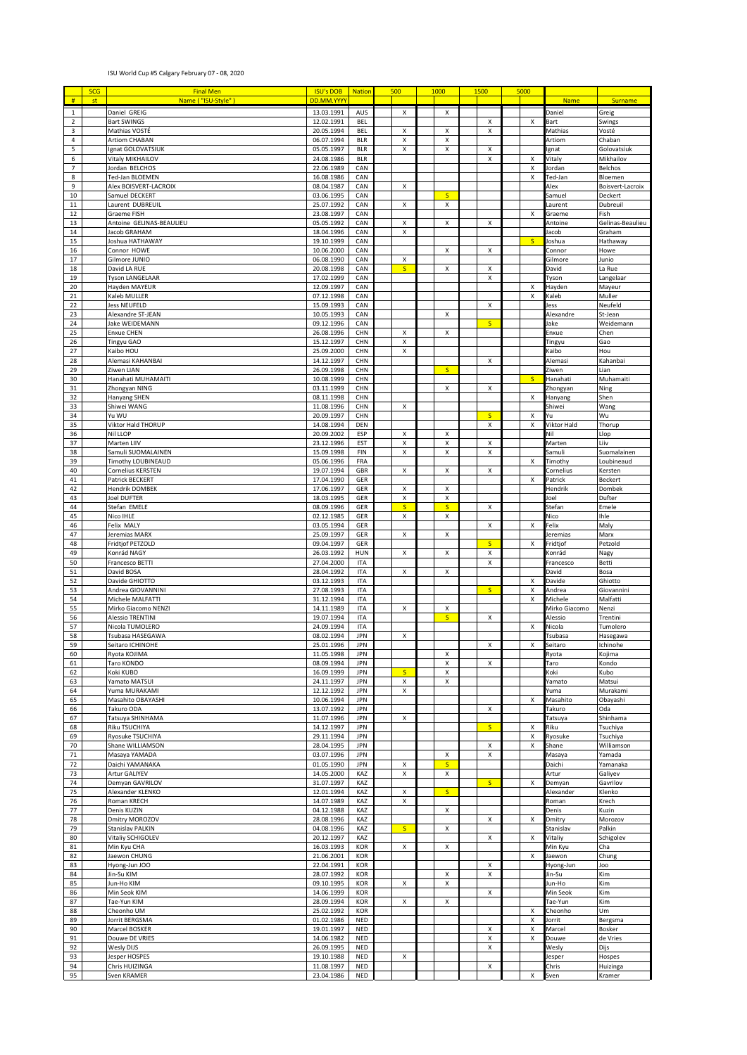## ISU World Cup #5 Calgary February 07 - 08, 2020

|                     | <b>SCG</b> | <b>Final Men</b>                         | <b>ISU's DOB</b>         | <b>Nation</b>            | 500 |                         | 1000         | 1500               | 5000                      |                     |                             |
|---------------------|------------|------------------------------------------|--------------------------|--------------------------|-----|-------------------------|--------------|--------------------|---------------------------|---------------------|-----------------------------|
| $\#$                | st         | Name ("ISU-Style")                       | DD.MM.YYYY               |                          |     |                         |              |                    |                           | <b>Name</b>         | Surname                     |
| $\mathbf 1$         |            | Daniel GREIG                             | 13.03.1991               | AUS                      |     | X                       | X            |                    |                           | Daniel              | Greig                       |
| $\overline{2}$      |            | <b>Bart SWINGS</b>                       | 12.02.1991               | <b>BEL</b>               |     |                         |              | X                  | х                         | Bart                | Swings                      |
| 3                   |            | Mathias VOSTÉ                            | 20.05.1994               | <b>BEL</b>               |     | X                       | X            | X                  |                           | Mathias             | Vosté                       |
| $\overline{4}$      |            | <b>Artiom CHABAN</b>                     | 06.07.1994               | <b>BLR</b>               |     | х                       | x            |                    |                           | Artiom              | Chaban                      |
| 5                   |            | Ignat GOLOVATSIUK                        | 05.05.1997               | <b>BLR</b>               |     | х                       | X            | X                  |                           | gnat                | Golovatsiuk                 |
| 6                   |            | Vitaly MIKHAILOV                         | 24.08.1986               | <b>BLR</b>               |     |                         |              | Χ                  | х                         | Vitaly              | Mikhailov                   |
| $\overline{7}$<br>8 |            | Jordan BELCHOS                           | 22.06.1989               | CAN                      |     |                         |              |                    | х                         | Jordan              | Belchos                     |
| 9                   |            | Ted-Jan BLOEMEN<br>Alex BOISVERT-LACROIX | 16.08.1986<br>08.04.1987 | CAN<br>CAN               |     | х                       |              |                    | х                         | Ted-Jan<br>Alex     | Bloemen<br>Boisvert-Lacroix |
| 10                  |            | Samuel DECKERT                           | 03.06.1995               | CAN                      |     |                         | S            |                    |                           | Samuel              | Deckert                     |
| $11\,$              |            | Laurent DUBREUIL                         | 25.07.1992               | CAN                      |     | х                       | х            |                    |                           | aurent              | Dubreuil                    |
| 12                  |            | Graeme FISH                              | 23.08.1997               | CAN                      |     |                         |              |                    | X                         | Graeme              | Fish                        |
| 13                  |            | Antoine GELINAS-BEAULIEU                 | 05.05.1992               | CAN                      |     | х                       | x            | X                  |                           | Antoine             | Gelinas-Beaulieu            |
| $14\,$              |            | Jacob GRAHAM                             | 18.04.1996               | CAN                      |     | X                       |              |                    |                           | acob                | Graham                      |
| 15                  |            | Joshua HATHAWAY                          | 19.10.1999               | CAN                      |     |                         |              |                    | $\mathsf{S}$              | loshua              | Hathaway                    |
| 16                  |            | Connor HOWE                              | 10.06.2000               | CAN                      |     |                         | x            | x                  |                           | Connor              | Howe                        |
| 17                  |            | Gilmore JUNIO                            | 06.08.1990               | CAN                      |     | х                       |              |                    |                           | Gilmore             | Junio                       |
| 18                  |            | David LA RUE                             | 20.08.1998               | CAN                      |     | $\mathsf{S}$            | x            | х                  |                           | David               | La Rue                      |
| 19<br>20            |            | <b>Tyson LANGELAAR</b><br>Hayden MAYEUR  | 17.02.1999<br>12.09.1997 | CAN<br>CAN               |     |                         |              | X                  | х                         | Tyson<br>Hayden     | Langelaar<br>Mayeur         |
| 21                  |            | Kaleb MULLER                             | 07.12.1998               | CAN                      |     |                         |              |                    | X                         | Kaleb               | Muller                      |
| 22                  |            | <b>Jess NEUFELD</b>                      | 15.09.1993               | CAN                      |     |                         |              | X                  |                           | Jess                | Neufeld                     |
| 23                  |            | Alexandre ST-JEAN                        | 10.05.1993               | CAN                      |     |                         | x            |                    |                           | Alexandre           | St-Jean                     |
| 24                  |            | Jake WEIDEMANN                           | 09.12.1996               | CAN                      |     |                         |              | S                  |                           | lake                | Weidemann                   |
| 25                  |            | <b>Enxue CHEN</b>                        | 26.08.1996               | CHN                      |     | х                       | x            |                    |                           | Enxue               | Chen                        |
| 26                  |            | Tingyu GAO                               | 15.12.1997               | CHN                      |     | X                       |              |                    |                           | Tingyu              | Gao                         |
| 27                  |            | Kaibo HOU                                | 25.09.2000               | CHN                      |     | X                       |              |                    |                           | aibo)               | Hou                         |
| 28                  |            | Alemasi KAHANBAI                         | 14.12.1997               | CHN                      |     |                         |              | Χ                  |                           | Alemasi             | Kahanbai                    |
| 29                  |            | Ziwen LIAN                               | 26.09.1998               | CHN                      |     |                         | S            |                    | $\mathsf{s}$              | Ziwen               | Lian                        |
| 30<br>31            |            | Hanahati MUHAMAITI<br>Zhongyan NING      | 10.08.1999<br>03.11.1999 | CHN<br>CHN               |     |                         | X            | Χ                  |                           | Hanahati            | Muhamaiti                   |
| 32                  |            | Hanyang SHEN                             | 08.11.1998               | CHN                      |     |                         |              |                    | Х                         | Zhongyan<br>Hanyang | Ning<br>Shen                |
| 33                  |            | Shiwei WANG                              | 11.08.1996               | CHN                      |     | х                       |              |                    |                           | Shiwei              | Wang                        |
| 34                  |            | Yu WU                                    | 20.09.1997               | CHN                      |     |                         |              | <sub>S</sub>       | х                         | Yu                  | Wu                          |
| 35                  |            | Viktor Hald THORUP                       | 14.08.1994               | DEN                      |     |                         |              | X                  | $\boldsymbol{\mathsf{X}}$ | Viktor Hald         | Thorup                      |
| 36                  |            | Nil LLOP                                 | 20.09.2002               | ESP                      |     | х                       | х            |                    |                           | Nil                 | Llop                        |
| 37                  |            | Marten LIIV                              | 23.12.1996               | EST                      |     | X                       | X            | Χ                  |                           | Marten              | Liiv                        |
| 38                  |            | Samuli SUOMALAINEN                       | 15.09.1998               | FIN                      |     | х                       | X            | Χ                  |                           | Samuli              | Suomalainen                 |
| 39                  |            | Timothy LOUBINEAUD                       | 05.06.1996               | FRA                      |     |                         |              |                    | Х                         | Timothy             | Loubineaud                  |
| 40                  |            | Cornelius KERSTEN                        | 19.07.1994               | GBR                      |     | X                       | x            | X                  |                           | Cornelius           | Kersten                     |
| 41                  |            | Patrick BECKERT                          | 17.04.1990               | GER                      |     |                         |              |                    | X                         | Patrick             | Beckert                     |
| 42<br>43            |            | <b>Hendrik DOMBEK</b><br>Joel DUFTER     | 17.06.1997<br>18.03.1995 | GER<br>GER               |     | х<br>х                  | X<br>x       |                    |                           | Hendrik<br>Joel     | Dombek<br>Dufter            |
| 44                  |            | Stefan EMELE                             | 08.09.1996               | GER                      |     | $\overline{\mathsf{S}}$ | S            | X                  |                           | Stefan              | Emele                       |
| 45                  |            | Nico IHLE                                | 02.12.1985               | GER                      |     | х                       | x            |                    |                           | Nico                | Ihle                        |
| 46                  |            | Felix MALY                               | 03.05.1994               | GER                      |     |                         |              | $\pmb{\mathsf{X}}$ | $\pmb{\times}$            | Felix               | Maly                        |
| 47                  |            | Jeremias MARX                            | 25.09.1997               | GER                      |     | х                       | x            |                    |                           | Jeremias            | Marx                        |
| 48                  |            | Fridtjof PETZOLD                         | 09.04.1997               | GER                      |     |                         |              | <sub>S</sub>       | X                         | Fridtjof            | Petzold                     |
| 49                  |            | Konrád NAGY                              | 26.03.1992               | HUN                      |     | х                       | x            | X                  |                           | Konrád              | Nagy                        |
| 50                  |            | Francesco BETTI                          | 27.04.2000               | <b>ITA</b>               |     |                         |              | X                  |                           | Francesco           | Betti                       |
| 51                  |            | David BOSA                               | 28.04.1992               | <b>ITA</b>               |     | X                       | X            |                    |                           | David               | Bosa                        |
| 52                  |            | Davide GHIOTTO                           | 03.12.1993               | <b>ITA</b>               |     |                         |              | s.                 | х                         | Davide              | Ghiotto                     |
| 53<br>54            |            | Andrea GIOVANNIN<br>Michele MALFATTI     | 27.08.1993<br>31.12.1994 | <b>ITA</b><br><b>ITA</b> |     |                         |              |                    | X<br>X                    | Andrea<br>Michele   | Giovannini<br>Malfatti      |
| 55                  |            | Mirko Giacomo NENZI                      | 14.11.1989               | <b>ITA</b>               |     | X                       | x            |                    |                           | Mirko Giacomo       | Nenzi                       |
| 56                  |            | Alessio TRENTINI                         | 19.07.1994               | <b>ITA</b>               |     |                         | <sub>S</sub> | Χ                  |                           | Alessio             | Trentini                    |
| 57                  |            | Nicola TUMOLERO                          | 24.09.1994               | <b>ITA</b>               |     |                         |              |                    | х                         | Vicola              | Tumolero                    |
| 58                  |            | Tsubasa HASEGAWA                         | 08.02.1994               | <b>JPN</b>               |     | х                       |              |                    |                           | Tsubasa             | Hasegawa                    |
| 59                  |            | Seitaro ICHINOHE                         | 25.01.1996               | <b>JPN</b>               |     |                         |              | X                  | x                         | Seitaro             | Ichinohe                    |
| 60                  |            | Ryota KOJIMA                             | 11.05.1998               | <b>JPN</b>               |     |                         | X            |                    |                           | <b>Ryota</b>        | Kojima                      |
| 61                  |            | Taro KONDO                               | 08.09.1994               | <b>JPN</b>               |     |                         | X            | X                  |                           | Taro                | Kondo                       |
| 62                  |            | Koki KUBO                                | 16.09.1999               | JPN                      |     | $\mathsf{S}$            | X            |                    |                           | (oki                | Kubo                        |
| 63                  |            | Yamato MATSUI<br>Yuma MURAKAMI           | 24.11.1997               | <b>JPN</b>               |     | х                       | x            |                    |                           | Yamato              | Matsui                      |
| 64<br>65            |            | Masahito OBAYASHI                        | 12.12.1992<br>10.06.1994 | <b>JPN</b><br><b>JPN</b> |     | х                       |              |                    | х                         | Yuma<br>Masahito    | Murakami<br>Obayashi        |
| 66                  |            | Takuro ODA                               | 13.07.1992               | JPN                      |     |                         |              | x                  |                           | Takuro              | Oda                         |
| 67                  |            | Tatsuya SHINHAMA                         | 11.07.1996               | JPN                      |     | х                       |              |                    |                           | Tatsuya             | Shinhama                    |
| 68                  |            | Riku TSUCHIYA                            | 14.12.1997               | JPN                      |     |                         |              | S                  | х                         | Riku                | Tsuchiya                    |
| 69                  |            | Ryosuke TSUCHIYA                         | 29.11.1994               | <b>JPN</b>               |     |                         |              |                    | X                         | Ryosuke             | Tsuchiya                    |
| 70                  |            | Shane WILLIAMSON                         | 28.04.1995               | <b>JPN</b>               |     |                         |              | Χ                  | х                         | Shane               | Williamson                  |
| 71                  |            | Masaya YAMADA                            | 03.07.1996               | <b>JPN</b>               |     |                         | X            | X                  |                           | Masaya              | Yamada                      |
| 72                  |            | Daichi YAMANAKA                          | 01.05.1990               | <b>JPN</b>               |     | х                       | <sub>S</sub> |                    |                           | Daichi              | Yamanaka                    |
| 73                  |            | Artur GALIYEV                            | 14.05.2000               | KAZ                      |     | X                       | X            |                    |                           | Artur               | Galiyev                     |
| 74<br>75            |            | Demyan GAVRILOV<br>Alexander KLENKO      | 31.07.1997<br>12.01.1994 | KAZ<br>KAZ               |     | х                       | S            | S                  | х                         | Demyan<br>Alexander | Gavrilov<br>Klenko          |
| 76                  |            | Roman KRECH                              | 14.07.1989               | KAZ                      |     | X                       |              |                    |                           | Roman               | Krech                       |
| 77                  |            | Denis KUZIN                              | 04.12.1988               | KAZ                      |     |                         | x            |                    |                           | Denis               | Kuzin                       |
| 78                  |            | Dmitry MOROZOV                           | 28.08.1996               | KAZ                      |     |                         |              | Χ                  | х                         | Dmitry              | Morozov                     |
| 79                  |            | Stanislav PALKIN                         | 04.08.1996               | KAZ                      |     | $\mathsf{S}$            | х            |                    |                           | Stanislav           | Palkin                      |
| 80                  |            | Vitaliy SCHIGOLEV                        | 20.12.1997               | KAZ                      |     |                         |              | X                  | x                         | Vitaliy             | Schigolev                   |
| 81                  |            | Min Kyu CHA                              | 16.03.1993               | KOR                      |     | x                       | x            |                    |                           | Min Kyu             | Cha                         |
| 82                  |            | Jaewon CHUNG                             | 21.06.2001               | KOR                      |     |                         |              |                    | X                         | Jaewon              | Chung                       |
| 83                  |            | Hyong-Jun JOO                            | 22.04.1991               | <b>KOR</b>               |     |                         |              | X                  |                           | Hyong-Jun           | Joo                         |
| 84                  |            | Jin-Su KIM                               | 28.07.1992               | <b>KOR</b>               |     |                         | x            | x                  |                           | Jin-Su              | Kim                         |
| 85<br>86            |            | Jun-Ho KIM                               | 09.10.1995               | KOR                      |     | X                       | X            |                    |                           | Jun-Ho              | Kim<br>Kim                  |
| 87                  |            | Min Seok KIM<br>Tae-Yun KIM              | 14.06.1999<br>28.09.1994 | KOR<br>KOR               |     | x                       | x            | x                  |                           | Min Seok<br>Tae-Yun | Kim                         |
| 88                  |            | Cheonho UM                               | 25.02.1992               | KOR                      |     |                         |              |                    | х                         | Cheonho             | Um                          |
| 89                  |            | Jorrit BERGSMA                           | 01.02.1986               | <b>NED</b>               |     |                         |              |                    | X                         | Jorrit              | Bergsma                     |
| 90                  |            | Marcel BOSKER                            | 19.01.1997               | NED                      |     |                         |              | Χ                  | x                         | Marcel              | Bosker                      |
| 91                  |            | Douwe DE VRIES                           | 14.06.1982               | <b>NED</b>               |     |                         |              | x                  | X                         | Douwe               | de Vries                    |
| 92                  |            | Wesly DIJS                               | 26.09.1995               | <b>NED</b>               |     |                         |              | X                  |                           | Wesly               | Dijs                        |
| 93                  |            | Jesper HOSPES                            | 19.10.1988               | NED                      |     | х                       |              |                    |                           | lesper              | Hospes                      |
| 94                  |            | Chris HUIZINGA                           | 11.08.1997               | <b>NED</b>               |     |                         |              | X                  |                           | Chris               | Huizinga                    |
| 95                  |            | Sven KRAMER                              | 23.04.1986               | <b>NED</b>               |     |                         |              |                    | X                         | Sven                | Kramer                      |